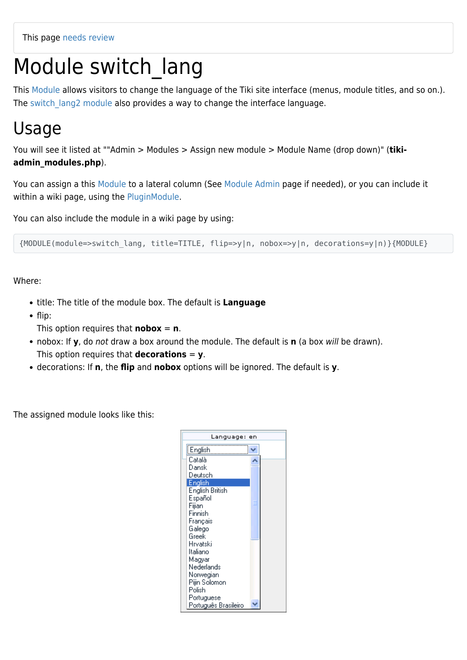# Module switch lang

This [Module](https://doc.tiki.org/Module) allows visitors to change the language of the Tiki site interface (menus, module titles, and so on.). The switch lang2 module also provides a way to change the interface language.

#### Usage

You will see it listed at ""Admin > Modules > Assign new module > Module Name (drop down)" (**tikiadmin\_modules.php**).

You can assign a this [Module](https://doc.tiki.org/Module) to a lateral column (See [Module Admin](https://doc.tiki.org/Module-Admin) page if needed), or you can include it within a wiki page, using the [PluginModule](https://doc.tiki.org/PluginModule).

You can also include the module in a wiki page by using:

{MODULE(module=>switch\_lang, title=TITLE, flip=>y|n, nobox=>y|n, decorations=y|n)}{MODULE}

Where:

- title: The title of the module box. The default is **Language**
- $\bullet$  flip:
	- This option requires that **nobox** =  $\mathbf{n}$ .
- nobox: If **y**, do not draw a box around the module. The default is **n** (a box will be drawn). This option requires that **decorations** = **y**.
- decorations: If **n**, the **flip** and **nobox** options will be ignored. The default is **y**.

The assigned module looks like this:

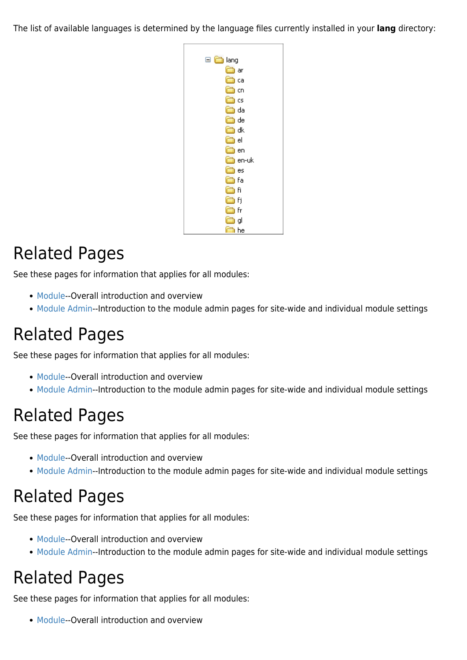The list of available languages is determined by the language files currently installed in your **lang** directory:



## Related Pages

See these pages for information that applies for all modules:

- [Module](https://doc.tiki.org/Module)--Overall introduction and overview
- [Module Admin-](https://doc.tiki.org/Module-Admin)-Introduction to the module admin pages for site-wide and individual module settings

### Related Pages

See these pages for information that applies for all modules:

- [Module](https://doc.tiki.org/Module)--Overall introduction and overview
- [Module Admin-](https://doc.tiki.org/Module-Admin)-Introduction to the module admin pages for site-wide and individual module settings

#### Related Pages

See these pages for information that applies for all modules:

- [Module](https://doc.tiki.org/Module)--Overall introduction and overview
- [Module Admin-](https://doc.tiki.org/Module-Admin)-Introduction to the module admin pages for site-wide and individual module settings

### Related Pages

See these pages for information that applies for all modules:

- [Module](https://doc.tiki.org/Module)--Overall introduction and overview
- [Module Admin-](https://doc.tiki.org/Module-Admin)-Introduction to the module admin pages for site-wide and individual module settings

# Related Pages

See these pages for information that applies for all modules:

• [Module](https://doc.tiki.org/Module)--Overall introduction and overview